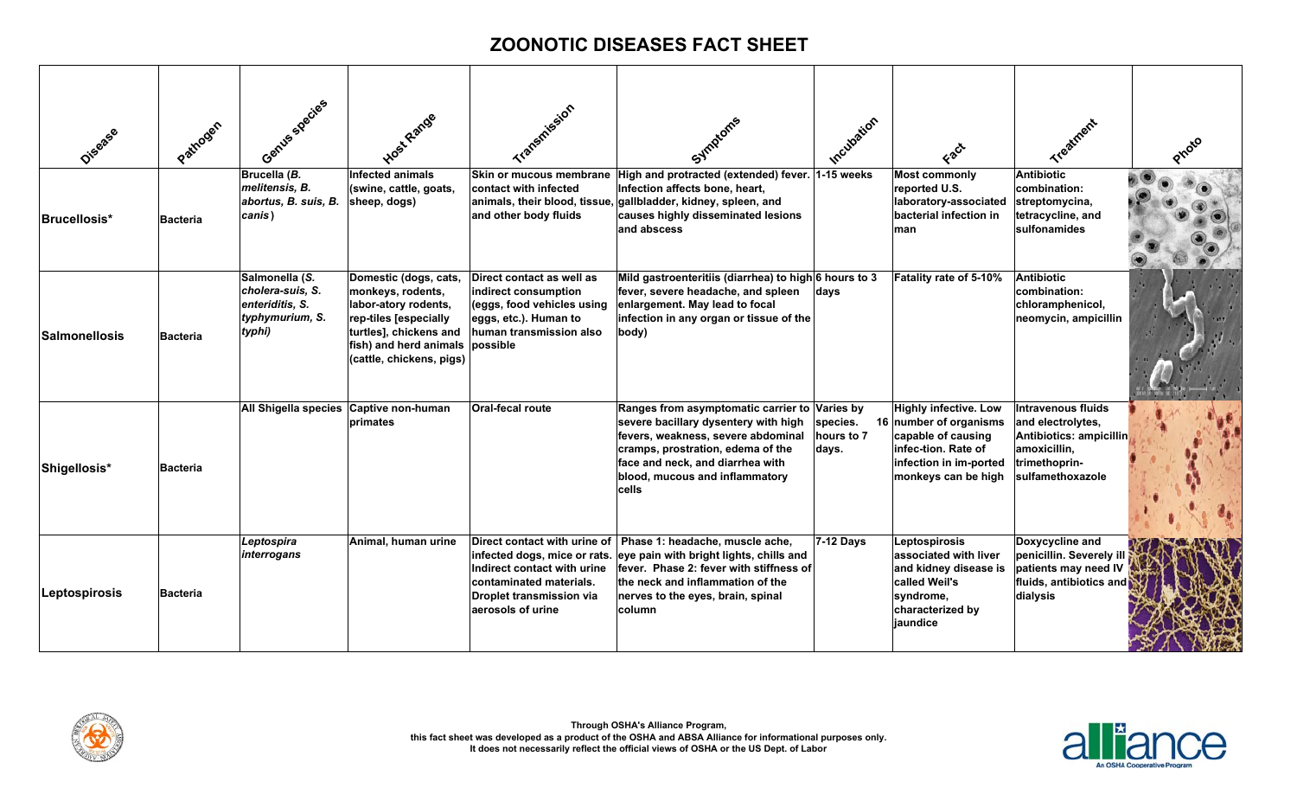| Disasee              | Pathogen        | Gentles species                                                                    | Host Range                                                                                                                                                                  | Transmission                                                                                                                                    | Symptoms                                                                                                                                                                                                                                        | Incubation                      | Fact                                                                                                                                                 | Treatment                                                                                                               |  |
|----------------------|-----------------|------------------------------------------------------------------------------------|-----------------------------------------------------------------------------------------------------------------------------------------------------------------------------|-------------------------------------------------------------------------------------------------------------------------------------------------|-------------------------------------------------------------------------------------------------------------------------------------------------------------------------------------------------------------------------------------------------|---------------------------------|------------------------------------------------------------------------------------------------------------------------------------------------------|-------------------------------------------------------------------------------------------------------------------------|--|
| <b>Brucellosis*</b>  | <b>Bacteria</b> | Brucella (B.<br>melitensis, B.<br>abortus, B. suis, B.<br>canis)                   | <b>Infected animals</b><br>(swine, cattle, goats,<br>sheep, dogs)                                                                                                           | Skin or mucous membrane<br>contact with infected<br>and other body fluids                                                                       | High and protracted (extended) fever. 1-15 weeks<br>Infection affects bone, heart,<br>animals, their blood, tissue, gallbladder, kidney, spleen, and<br>causes highly disseminated lesions<br>and abscess                                       |                                 | <b>Most commonly</b><br>reported U.S.<br>laboratory-associated<br>bacterial infection in<br>man                                                      | Antibiotic<br>combination:<br>streptomycina,<br>tetracycline, and<br>sulfonamides                                       |  |
| <b>Salmonellosis</b> | <b>Bacteria</b> | Salmonella (S.<br>cholera-suis, S.<br>enteriditis, S.<br>typhymurium, S.<br>typhi) | Domestic (dogs, cats,<br>monkeys, rodents,<br>labor-atory rodents,<br>rep-tiles [especially<br>turtles], chickens and<br>fish) and herd animals<br>(cattle, chickens, pigs) | Direct contact as well as<br>indirect consumption<br>(eggs, food vehicles using<br>eggs, etc.). Human to<br>human transmission also<br>possible | Mild gastroenteritiis (diarrhea) to high 6 hours to 3<br>fever, severe headache, and spleen<br>enlargement. May lead to focal<br>infection in any organ or tissue of the<br>body)                                                               | days                            | Fatality rate of 5-10%                                                                                                                               | <b>Antibiotic</b><br>combination:<br>chloramphenicol,<br>neomycin, ampicillin                                           |  |
| Shigellosis*         | <b>Bacteria</b> | All Shigella species Captive non-human                                             | primates                                                                                                                                                                    | <b>Oral-fecal route</b>                                                                                                                         | Ranges from asymptomatic carrier to Varies by<br>severe bacillary dysentery with high<br>fevers, weakness, severe abdominal<br>cramps, prostration, edema of the<br>face and neck, and diarrhea with<br>blood, mucous and inflammatory<br>cells | species.<br>hours to 7<br>days. | <b>Highly infective. Low</b><br>16 number of organisms<br>capable of causing<br>infec-tion. Rate of<br>infection in im-ported<br>monkeys can be high | Intravenous fluids<br>and electrolytes,<br>Antibiotics: ampicillin<br>amoxicillin,<br>trimethoprin-<br>sulfamethoxazole |  |
| Leptospirosis        | <b>Bacteria</b> | Leptospira<br>interrogans                                                          | Animal, human urine                                                                                                                                                         | Direct contact with urine of<br>Indirect contact with urine<br>contaminated materials.<br><b>Droplet transmission via</b><br>aerosols of urine  | Phase 1: headache, muscle ache,<br>infected dogs, mice or rats. eye pain with bright lights, chills and<br>fever. Phase 2: fever with stiffness of<br>the neck and inflammation of the<br>nerves to the eyes, brain, spinal<br>column           | 7-12 Days                       | Leptospirosis<br>associated with liver<br>and kidney disease is<br>called Weil's<br>syndrome,<br>characterized by<br>jaundice                        | Doxycycline and<br>penicillin. Severely ill<br>patients may need IV<br>fluids, antibiotics and<br>dialysis              |  |



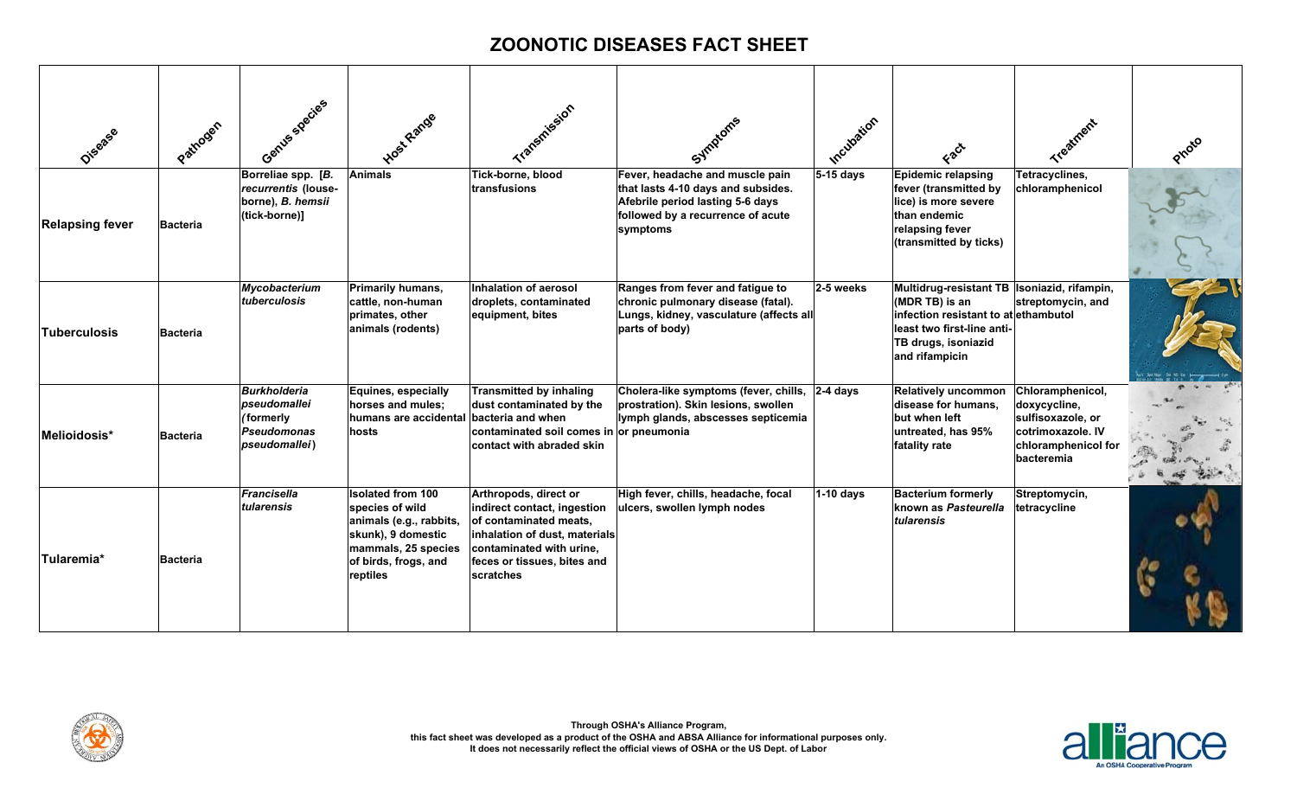| Disasee                | Pathogen        | Gentles species                                                                  | Host Range                                                                                                                                              | Transmission                                                                                                                                                                            | Symptoms                                                                                                                                                   | Incubation  | EBCT                                                                                                                                                                           | Treatment                                                                                                       |  |
|------------------------|-----------------|----------------------------------------------------------------------------------|---------------------------------------------------------------------------------------------------------------------------------------------------------|-----------------------------------------------------------------------------------------------------------------------------------------------------------------------------------------|------------------------------------------------------------------------------------------------------------------------------------------------------------|-------------|--------------------------------------------------------------------------------------------------------------------------------------------------------------------------------|-----------------------------------------------------------------------------------------------------------------|--|
| <b>Relapsing fever</b> | <b>Bacteria</b> | Borreliae spp. [B.<br>recurrentis (louse-<br>borne), B. hemsii<br>(tick-borne)]  | <b>Animals</b>                                                                                                                                          | Tick-borne, blood<br>transfusions                                                                                                                                                       | Fever, headache and muscle pain<br>that lasts 4-10 days and subsides.<br>Afebrile period lasting 5-6 days<br>followed by a recurrence of acute<br>symptoms | 5-15 days   | <b>Epidemic relapsing</b><br>fever (transmitted by<br>lice) is more severe<br>than endemic<br>relapsing fever<br>(transmitted by ticks)                                        | Tetracyclines,<br>chloramphenicol                                                                               |  |
| <b>Tuberculosis</b>    | <b>Bacteria</b> | Mycobacterium<br>tuberculosis                                                    | <b>Primarily humans,</b><br>cattle, non-human<br>primates, other<br>animals (rodents)                                                                   | Inhalation of aerosol<br>droplets, contaminated<br>equipment, bites                                                                                                                     | Ranges from fever and fatigue to<br>chronic pulmonary disease (fatal).<br>Lungs, kidney, vasculature (affects all<br>parts of body)                        | 2-5 weeks   | Multidrug-resistant TB   Isoniazid, rifampin,<br>(MDR TB) is an<br>infection resistant to at ethambutol<br>least two first-line anti-<br>TB drugs, isoniazid<br>and rifampicin | streptomycin, and                                                                                               |  |
| Melioidosis*           | <b>Bacteria</b> | <b>Burkholderia</b><br>pseudomallei<br>(formerly<br>Pseudomonas<br>pseudomallei) | Equines, especially<br>horses and mules;<br>humans are accidental bacteria and when<br>hosts                                                            | <b>Transmitted by inhaling</b><br>dust contaminated by the<br>contaminated soil comes in or pneumonia<br>contact with abraded skin                                                      | Cholera-like symptoms (fever, chills, 2-4 days<br>prostration). Skin lesions, swollen<br>lymph glands, abscesses septicemia                                |             | <b>Relatively uncommon</b><br>disease for humans,<br>but when left<br>untreated, has 95%<br>fatality rate                                                                      | Chloramphenicol,<br>doxycycline,<br>sulfisoxazole, or<br>cotrimoxazole. IV<br>chloramphenicol for<br>bacteremia |  |
| Tularemia*             | <b>Bacteria</b> | <b>Francisella</b><br>tularensis                                                 | <b>Isolated from 100</b><br>species of wild<br>animals (e.g., rabbits,<br>skunk), 9 domestic<br>mammals, 25 species<br>of birds, frogs, and<br>reptiles | Arthropods, direct or<br>indirect contact, ingestion<br>of contaminated meats,<br>inhalation of dust, materials<br>contaminated with urine,<br>feces or tissues, bites and<br>scratches | High fever, chills, headache, focal<br>ulcers, swollen lymph nodes                                                                                         | $1-10$ days | <b>Bacterium formerly</b><br>known as Pasteurella<br>tularensis                                                                                                                | Streptomycin,<br>tetracycline                                                                                   |  |



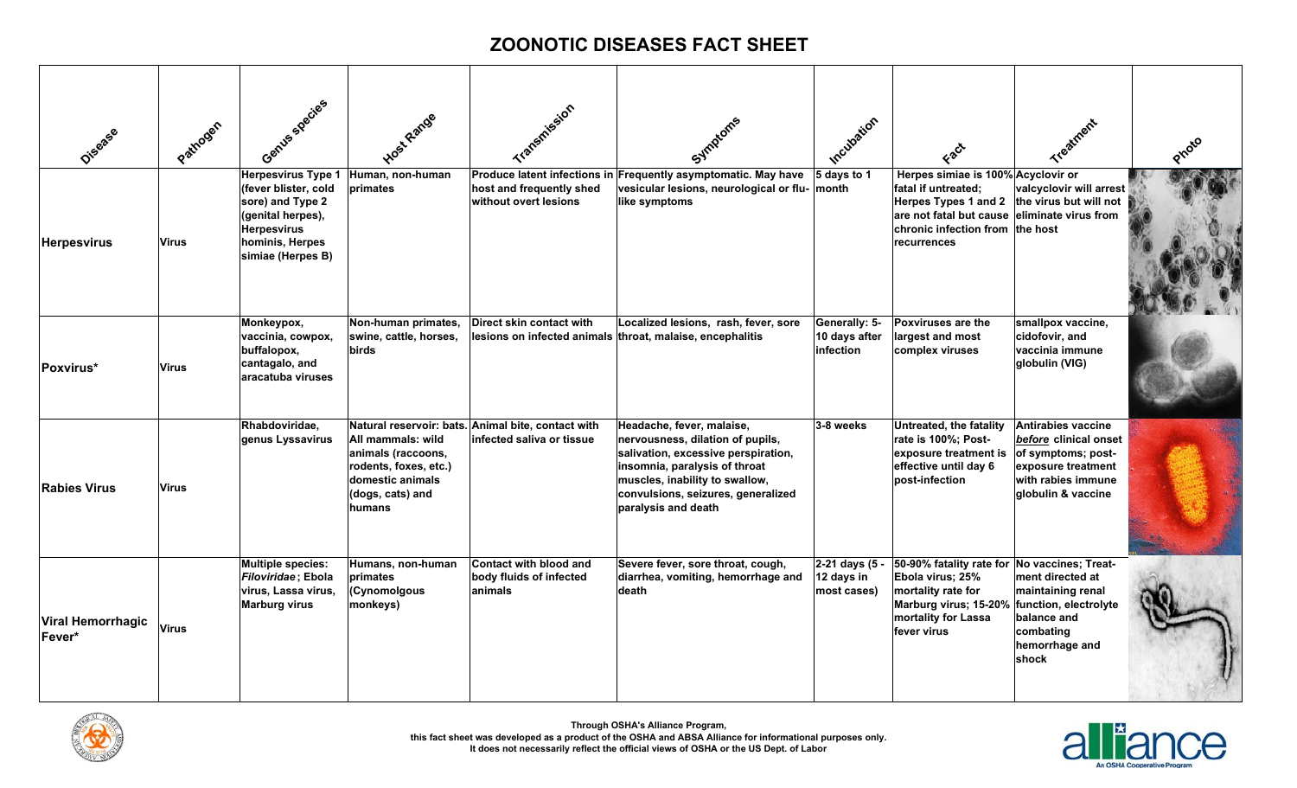| Disasee                            | Pathogen     | Gentles species                                                                                                                                          | Host Range                                                                                                         | Transmission                                                                    | Symptoms                                                                                                                                                                                                                             | Incubation                                  |                                                                                                                                                                                                            | Treatment                                                                                                            |  |
|------------------------------------|--------------|----------------------------------------------------------------------------------------------------------------------------------------------------------|--------------------------------------------------------------------------------------------------------------------|---------------------------------------------------------------------------------|--------------------------------------------------------------------------------------------------------------------------------------------------------------------------------------------------------------------------------------|---------------------------------------------|------------------------------------------------------------------------------------------------------------------------------------------------------------------------------------------------------------|----------------------------------------------------------------------------------------------------------------------|--|
| <b>Herpesvirus</b>                 | Virus        | <b>Herpesvirus Type 1</b><br>(fever blister, cold<br>sore) and Type 2<br>(genital herpes),<br><b>Herpesvirus</b><br>hominis, Herpes<br>simiae (Herpes B) | Human, non-human<br>primates                                                                                       | host and frequently shed<br>without overt lesions                               | Produce latent infections in Frequently asymptomatic. May have<br>vesicular lesions, neurological or flu-<br>like symptoms                                                                                                           | 5 days to 1<br>∣month                       | Herpes simiae is 100% Acyclovir or<br>fatal if untreated;<br>Herpes Types 1 and 2 the virus but will not<br>are not fatal but cause eliminate virus from<br>chronic infection from the host<br>recurrences | valcyclovir will arrest                                                                                              |  |
| Poxvirus*                          | Virus        | Monkeypox,<br>vaccinia, cowpox,<br>buffalopox,<br>cantagalo, and<br>aracatuba viruses                                                                    | Non-human primates,<br>swine, cattle, horses.<br>birds                                                             | Direct skin contact with                                                        | Localized lesions, rash, fever, sore<br>lesions on infected animals throat, malaise, encephalitis                                                                                                                                    | Generally: 5-<br>10 days after<br>infection | Poxviruses are the<br>largest and most<br>complex viruses                                                                                                                                                  | smallpox vaccine,<br>cidofovir, and<br>vaccinia immune<br>globulin (VIG)                                             |  |
| <b>Rabies Virus</b>                | <b>Virus</b> | Rhabdoviridae,<br>genus Lyssavirus                                                                                                                       | All mammals: wild<br>animals (raccoons,<br>rodents, foxes, etc.)<br>domestic animals<br>(dogs, cats) and<br>humans | Natural reservoir: bats. Animal bite, contact with<br>infected saliva or tissue | Headache, fever, malaise,<br>nervousness, dilation of pupils,<br>salivation, excessive perspiration,<br>insomnia, paralysis of throat<br>muscles, inability to swallow,<br>convulsions, seizures, generalized<br>paralysis and death | 3-8 weeks                                   | Untreated, the fatality<br>rate is 100%; Post-<br>exposure treatment is of symptoms; post-<br>effective until day 6<br>post-infection                                                                      | <b>Antirabies vaccine</b><br>before clinical onset<br>exposure treatment<br>with rabies immune<br>globulin & vaccine |  |
| <b>Viral Hemorrhagic</b><br>Fever* | <b>Virus</b> | Multiple species:<br>Filoviridae; Ebola<br>virus, Lassa virus,<br><b>Marburg virus</b>                                                                   | Humans, non-human<br>primates<br>(Cynomolgous<br>monkeys)                                                          | Contact with blood and<br>body fluids of infected<br>animals                    | Severe fever, sore throat, cough,<br>diarrhea, vomiting, hemorrhage and<br>death                                                                                                                                                     | 2-21 days (5 -<br>12 days in<br>most cases) | 50-90% fatality rate for No vaccines; Treat-<br>Ebola virus; 25%<br>mortality rate for<br>Marburg virus; 15-20% function, electrolyte<br>mortality for Lassa<br>fever virus                                | ment directed at<br>maintaining renal<br>balance and<br>combating<br>hemorrhage and<br>shock                         |  |



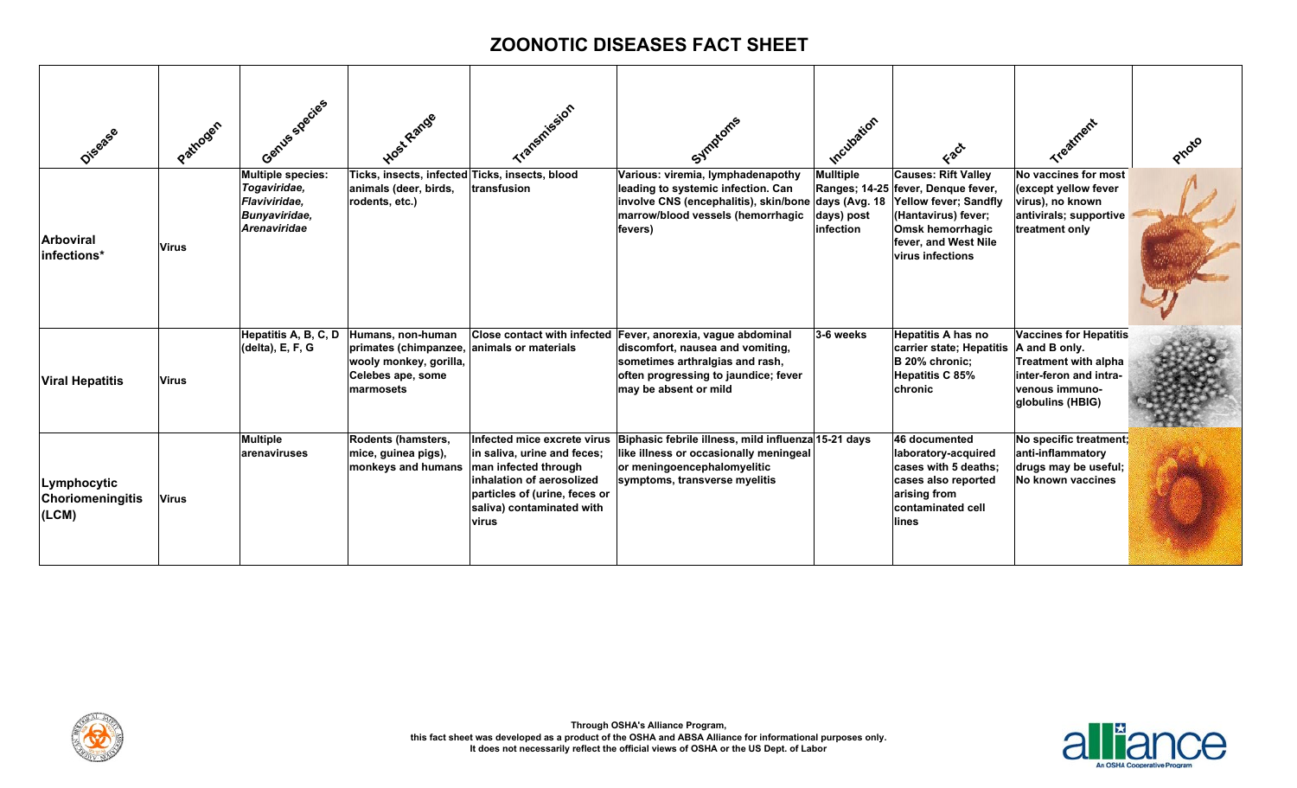| Diference                                       | Pathogen     | Gentles species                                                                                   | Host Range                                                                                                                  | Transmission                                                                                                                                                                           | Symptoms                                                                                                                                                                                             | Incubation                                                   | Fact                                                                                                                                                                                           |                                                                                                                                               | Protio |
|-------------------------------------------------|--------------|---------------------------------------------------------------------------------------------------|-----------------------------------------------------------------------------------------------------------------------------|----------------------------------------------------------------------------------------------------------------------------------------------------------------------------------------|------------------------------------------------------------------------------------------------------------------------------------------------------------------------------------------------------|--------------------------------------------------------------|------------------------------------------------------------------------------------------------------------------------------------------------------------------------------------------------|-----------------------------------------------------------------------------------------------------------------------------------------------|--------|
| <b>Arboviral</b><br>infections*                 | <b>Virus</b> | <b>Multiple species:</b><br>Togaviridae,<br>Flaviviridae.<br>Bunyaviridae,<br><b>Arenaviridae</b> | Ticks, insects, infected Ticks, insects, blood<br>animals (deer, birds,<br>rodents, etc.)                                   | transfusion                                                                                                                                                                            | Various: viremia, lymphadenapothy<br>leading to systemic infection. Can<br>involve CNS (encephalitis), skin/bone<br>marrow/blood vessels (hemorrhagic<br>fevers)                                     | <b>Mulltiple</b><br>days (Avg. 18<br>days) post<br>infection | <b>Causes: Rift Valley</b><br>Ranges; 14-25 fever, Denque fever,<br><b>Yellow fever: Sandfly</b><br>(Hantavirus) fever;<br>Omsk hemorrhagic<br>fever, and West Nile<br><b>virus infections</b> | No vaccines for most<br>(except yellow fever<br>virus), no known<br>antivirals; supportive<br>treatment only                                  |        |
| <b>Viral Hepatitis</b>                          | <b>Virus</b> | Hepatitis A, B, C, D<br>(delta), E, F, G                                                          | Humans, non-human<br>primates (chimpanzee, animals or materials<br>wooly monkey, gorilla,<br>Celebes ape, some<br>marmosets |                                                                                                                                                                                        | Close contact with infected Fever, anorexia, vague abdominal<br>discomfort, nausea and vomiting,<br>sometimes arthralgias and rash,<br>often progressing to jaundice; fever<br>may be absent or mild | 3-6 weeks                                                    | Hepatitis A has no<br>carrier state; Hepatitis<br>B 20% chronic;<br><b>Hepatitis C 85%</b><br>chronic                                                                                          | <b>Vaccines for Hepatitis</b><br>A and B only.<br><b>Treatment with alpha</b><br>inter-feron and intra-<br>venous immuno-<br>globulins (HBIG) |        |
| Lymphocytic<br><b>Choriomeningitis</b><br>(LCM) | <b>Virus</b> | <b>Multiple</b><br>arenaviruses                                                                   | Rodents (hamsters,<br>mice, guinea pigs),<br>monkeys and humans                                                             | Infected mice excrete virus<br>in saliva, urine and feces;<br>man infected through<br>inhalation of aerosolized<br>particles of (urine, feces or<br>saliva) contaminated with<br>virus | Biphasic febrile illness, mild influenza 15-21 days<br>like illness or occasionally meningeal<br>or meningoencephalomyelitic<br>symptoms, transverse myelitis                                        |                                                              | 46 documented<br>laboratory-acquired<br>cases with 5 deaths:<br>cases also reported<br>arising from<br>contaminated cell<br>lines                                                              | No specific treatment;<br>anti-inflammatory<br>drugs may be useful;<br>No known vaccines                                                      |        |



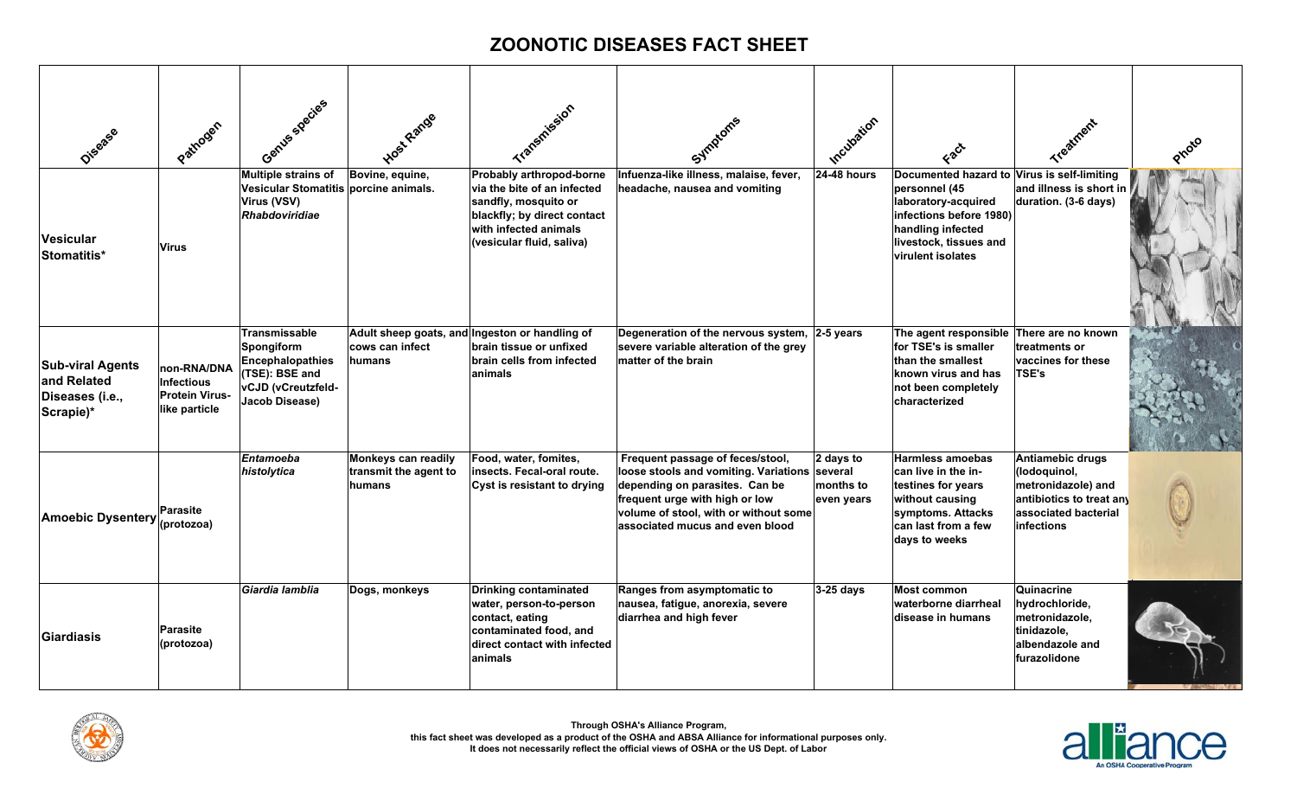| Disasse                                                                | Pathogen                                                                   | Gentles species                                                                                                                | Host Range                                                           | Transmission                                                                                                                                                         | Symptoms                                                                                                                                                                                                                          | Incubation                           | Fact                                                                                                                                                                               | Treatment                                                                                                                |  |
|------------------------------------------------------------------------|----------------------------------------------------------------------------|--------------------------------------------------------------------------------------------------------------------------------|----------------------------------------------------------------------|----------------------------------------------------------------------------------------------------------------------------------------------------------------------|-----------------------------------------------------------------------------------------------------------------------------------------------------------------------------------------------------------------------------------|--------------------------------------|------------------------------------------------------------------------------------------------------------------------------------------------------------------------------------|--------------------------------------------------------------------------------------------------------------------------|--|
| Vesicular<br>Stomatitis*                                               | <b>Virus</b>                                                               | Multiple strains of<br>Vesicular Stomatitis porcine animals.<br>Virus (VSV)<br><b>Rhabdoviridiae</b>                           | Bovine, equine,                                                      | Probably arthropod-borne<br>via the bite of an infected<br>sandfly, mosquito or<br>blackfly; by direct contact<br>with infected animals<br>(vesicular fluid, saliva) | Infuenza-like illness, malaise, fever,<br>headache, nausea and vomiting                                                                                                                                                           | <b>24-48 hours</b>                   | Documented hazard to Virus is self-limiting<br>personnel (45<br>laboratory-acquired<br>infections before 1980)<br>handling infected<br>livestock, tissues and<br>virulent isolates | and illness is short in<br>duration. (3-6 days)                                                                          |  |
| <b>Sub-viral Agents</b><br>and Related<br>Diseases (i.e.,<br>Scrapie)* | non-RNA/DNA<br><b>Infectious</b><br><b>Protein Virus-</b><br>like particle | <b>Transmissable</b><br>Spongiform<br><b>Encephalopathies</b><br>(TSE): BSE and<br>vCJD (vCreutzfeld-<br><b>Jacob Disease)</b> | cows can infect<br>humans                                            | Adult sheep goats, and Ingeston or handling of<br>brain tissue or unfixed<br>brain cells from infected<br>animals                                                    | Degeneration of the nervous system, 2-5 years<br>severe variable alteration of the grey<br>matter of the brain                                                                                                                    |                                      | The agent responsible There are no known<br>for TSE's is smaller<br>than the smallest<br><b>known virus and has</b><br>not been completely<br>characterized                        | treatments or<br>vaccines for these<br><b>TSE's</b>                                                                      |  |
| <b>Amoebic Dysentery</b>                                               | Parasite<br>(protozoa)                                                     | <b>Entamoeba</b><br>histolytica                                                                                                | <b>Monkeys can readily</b><br>transmit the agent to<br><b>humans</b> | Food, water, fomites,<br>insects. Fecal-oral route.<br>Cyst is resistant to drying                                                                                   | Frequent passage of feces/stool,<br>loose stools and vomiting. Variations several<br>depending on parasites. Can be<br>frequent urge with high or low<br>volume of stool, with or without some<br>associated mucus and even blood | 2 days to<br>months to<br>even years | <b>Harmless amoebas</b><br>can live in the in-<br>testines for years<br>without causing<br>symptoms. Attacks<br>can last from a few<br>days to weeks                               | Antiamebic drugs<br>(lodoquinol,<br>metronidazole) and<br>antibiotics to treat any<br>associated bacterial<br>infections |  |
| Giardiasis                                                             | Parasite<br>(protozoa)                                                     | Giardia lamblia                                                                                                                | Dogs, monkeys                                                        | <b>Drinking contaminated</b><br>water, person-to-person<br>contact, eating<br>contaminated food, and<br>direct contact with infected<br>animals                      | Ranges from asymptomatic to<br>nausea, fatigue, anorexia, severe<br>diarrhea and high fever                                                                                                                                       | 3-25 days                            | <b>Most common</b><br>waterborne diarrheal<br>disease in humans                                                                                                                    | Quinacrine<br>hydrochloride,<br>metronidazole,<br>tinidazole,<br>albendazole and<br>furazolidone                         |  |



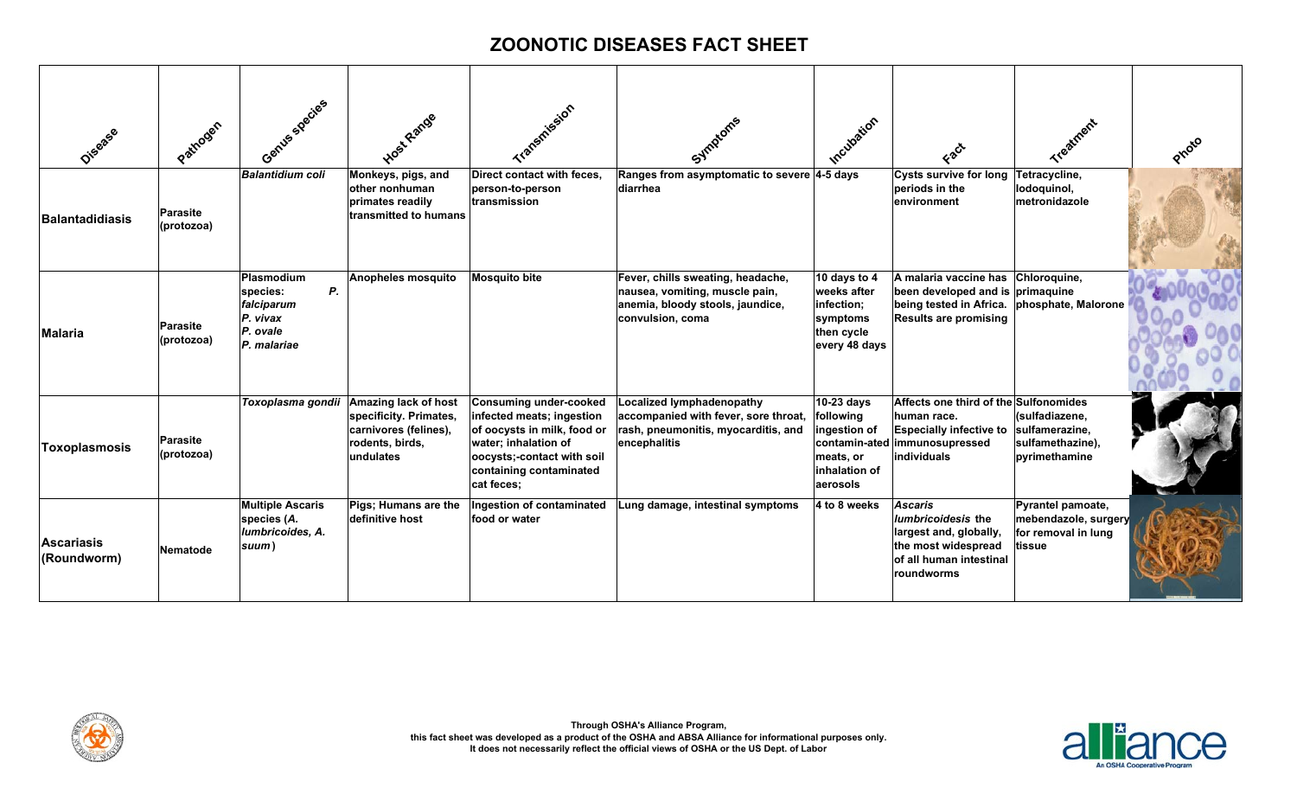| Disaase                          | Pathogen                      | Gentles species                                                                   | Host Range                                                                                                     | Transmission                                                                                                                                                                      | Symptoms                                                                                                                        | Incubation                                                                           | Fact                                                                                                                                                  | Treatment                                                                  | Proto |
|----------------------------------|-------------------------------|-----------------------------------------------------------------------------------|----------------------------------------------------------------------------------------------------------------|-----------------------------------------------------------------------------------------------------------------------------------------------------------------------------------|---------------------------------------------------------------------------------------------------------------------------------|--------------------------------------------------------------------------------------|-------------------------------------------------------------------------------------------------------------------------------------------------------|----------------------------------------------------------------------------|-------|
| <b>Balantadidiasis</b>           | <b>Parasite</b><br>(protozoa) | <b>Balantidium coli</b>                                                           | Monkeys, pigs, and<br>other nonhuman<br>primates readily<br>transmitted to humans                              | Direct contact with feces.<br>person-to-person<br>transmission                                                                                                                    | Ranges from asymptomatic to severe 4-5 days<br>diarrhea                                                                         |                                                                                      | <b>Cysts survive for long</b><br>periods in the<br>environment                                                                                        | Tetracycline,<br>lodoquinol,<br>metronidazole                              |       |
| Malaria                          | <b>Parasite</b><br>(protozoa) | Plasmodium<br>Ρ.<br>species:<br>falciparum<br>P. vivax<br>P. ovale<br>P. malariae | <b>Anopheles mosquito</b>                                                                                      | <b>Mosquito bite</b>                                                                                                                                                              | Fever, chills sweating, headache,<br>nausea, vomiting, muscle pain,<br>anemia, bloody stools, jaundice,<br>convulsion, coma     | 10 days to 4<br>weeks after<br>infection;<br>symptoms<br>then cycle<br>every 48 days | A malaria vaccine has Chloroquine,<br>been developed and is primaquine<br>being tested in Africa. phosphate, Malorone<br><b>Results are promising</b> |                                                                            |       |
| Toxoplasmosis                    | <b>Parasite</b><br>(protozoa) | Toxoplasma gondii                                                                 | <b>Amazing lack of host</b><br>specificity. Primates,<br>carnivores (felines),<br>rodents, birds,<br>undulates | Consuming under-cooked<br>infected meats; ingestion<br>of oocysts in milk, food or<br>water; inhalation of<br>oocysts;-contact with soil<br>containing contaminated<br>cat feces; | <b>Localized lymphadenopathy</b><br>accompanied with fever, sore throat,<br>rash, pneumonitis, myocarditis, and<br>encephalitis | 10-23 days<br>following<br>ingestion of<br>meats, or<br>inhalation of<br>aerosols    | Affects one third of the Sulfonomides<br>human race.<br>Especially infective to sulfamerazine,<br>contamin-ated immunosupressed<br><b>individuals</b> | (sulfadiazene,<br>sulfamethazine),<br>pyrimethamine                        |       |
| <b>Ascariasis</b><br>(Roundworm) | <b>Nematode</b>               | <b>Multiple Ascaris</b><br>species (A.<br>lumbricoides, A.<br>suum)               | Pigs; Humans are the<br>definitive host                                                                        | Ingestion of contaminated<br>food or water                                                                                                                                        | Lung damage, intestinal symptoms                                                                                                | 4 to 8 weeks                                                                         | <b>Ascaris</b><br><i>lumbricoidesis</i> the<br>largest and, globally,<br>the most widespread<br>of all human intestinal<br>roundworms                 | Pyrantel pamoate,<br>mebendazole, surgery<br>for removal in lung<br>tissue |       |